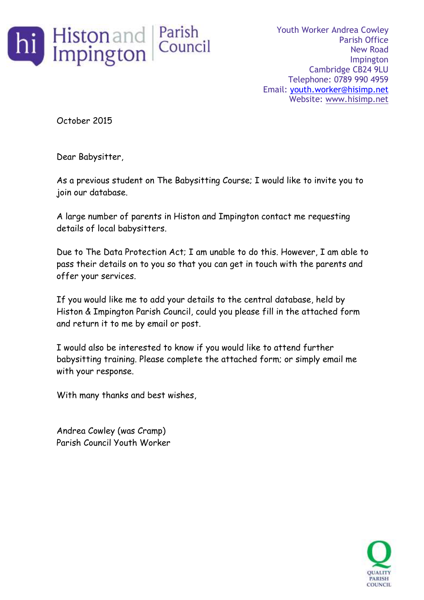

Youth Worker Andrea Cowley Parish Office New Road Impington Cambridge CB24 9LU Telephone: 0789 990 4959 Email: [youth.worker@hisimp.net](mailto:youth.worker@hisimp.net) Website: [www.hisimp.net](http://www.hisimp.net/)

October 2015

Dear Babysitter,

As a previous student on The Babysitting Course; I would like to invite you to join our database.

A large number of parents in Histon and Impington contact me requesting details of local babysitters.

Due to The Data Protection Act; I am unable to do this. However, I am able to pass their details on to you so that you can get in touch with the parents and offer your services.

If you would like me to add your details to the central database, held by Histon & Impington Parish Council, could you please fill in the attached form and return it to me by email or post.

I would also be interested to know if you would like to attend further babysitting training. Please complete the attached form; or simply email me with your response.

With many thanks and best wishes,

Andrea Cowley (was Cramp) Parish Council Youth Worker

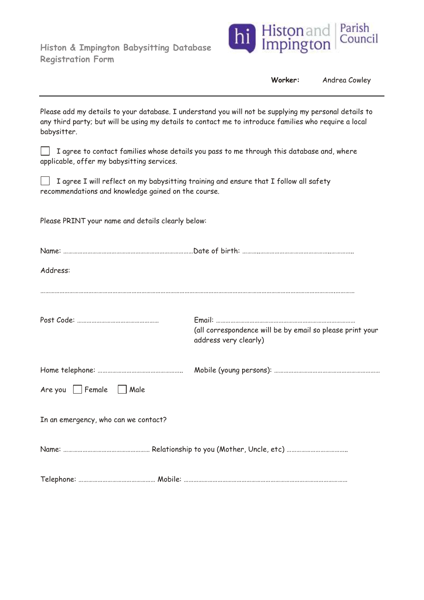**Histon & Impington Babysitting Database Registration Form**



| Worker: | Andrea Cowley |  |
|---------|---------------|--|
|---------|---------------|--|

Please add my details to your database. I understand you will not be supplying my personal details to any third party; but will be using my details to contact me to introduce families who require a local babysitter.

 $\Box$  I agree to contact families whose details you pass to me through this database and, where applicable, offer my babysitting services.

 $\Box$  I agree I will reflect on my babysitting training and ensure that I follow all safety recommendations and knowledge gained on the course.

Please PRINT your name and details clearly below:

| Address:                             |                                                                                    |  |  |
|--------------------------------------|------------------------------------------------------------------------------------|--|--|
|                                      | (all correspondence will be by email so please print your<br>address very clearly) |  |  |
| $Are you$ Female $\Box$ Male         |                                                                                    |  |  |
| In an emergency, who can we contact? |                                                                                    |  |  |
|                                      |                                                                                    |  |  |
|                                      |                                                                                    |  |  |